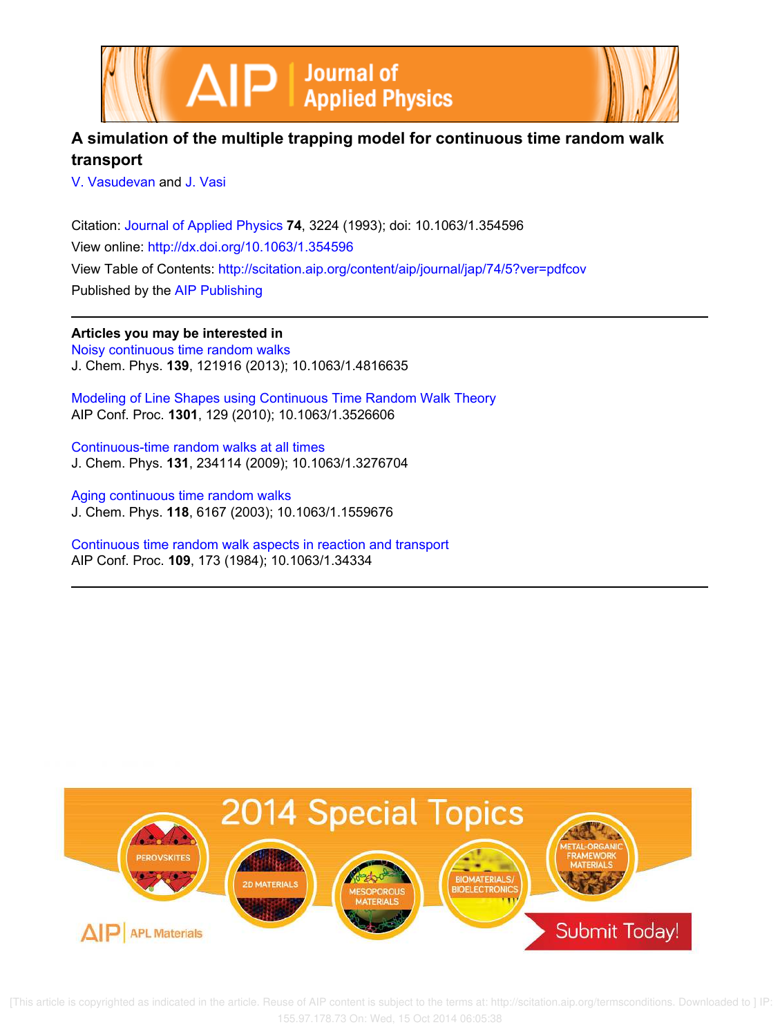



# **A simulation of the multiple trapping model for continuous time random walk transport**

V. Vasudevan and J. Vasi

Citation: Journal of Applied Physics **74**, 3224 (1993); doi: 10.1063/1.354596 View online: http://dx.doi.org/10.1063/1.354596 View Table of Contents: http://scitation.aip.org/content/aip/journal/jap/74/5?ver=pdfcov Published by the AIP Publishing

**Articles you may be interested in** Noisy continuous time random walks J. Chem. Phys. **139**, 121916 (2013); 10.1063/1.4816635

Modeling of Line Shapes using Continuous Time Random Walk Theory AIP Conf. Proc. **1301**, 129 (2010); 10.1063/1.3526606

Continuous-time random walks at all times J. Chem. Phys. **131**, 234114 (2009); 10.1063/1.3276704

Aging continuous time random walks J. Chem. Phys. **118**, 6167 (2003); 10.1063/1.1559676

Continuous time random walk aspects in reaction and transport AIP Conf. Proc. **109**, 173 (1984); 10.1063/1.34334

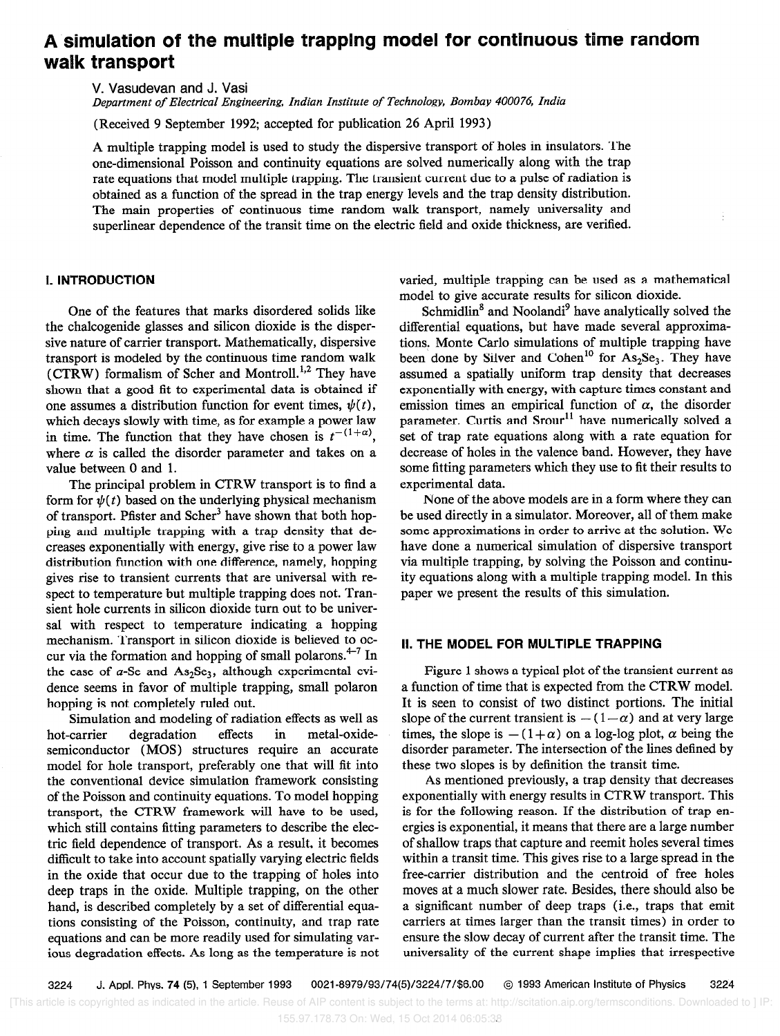# A simulation of the multiple trapping model for continuous time random walk transport

V. Vasudevan and J. Vasi

Department of Electrical Engineering, Indian Institute of Technology, Bombay 400076, India

(Received 9 September 1992; accepted for publication 26 April 1993)

A multiple trapping model is used to study the dispersive transport of holes in insulators. The one-dimensional Poisson and continuity equations are solved numerically along with the trap rate equations that model multiple trapping. The transient current due to a pulse of radiation is obtained as a function of the spread in the trap energy levels and the trap density distribution. The main properties of continuous time random walk transport, namely universality and superlinear dependence of the transit time on the electric field and oxide thickness, are verified.

#### 1. INTRODUCTION

One of the features that marks disordered solids like the chalcogenide glasses and silicon dioxide is the dispersive nature of carrier transport. Mathematically, dispersive transport is modeled by the continuous time random walk (CTRW) formalism of Scher and Montroll.<sup>1,2</sup> They have shown that a good fit to experimental data is obtained if one assumes a distribution function for event times,  $\psi(t)$ , which decays slowly with time, as for example a power law in time. The function that they have chosen is  $t^{-(1+\alpha)}$ , where  $\alpha$  is called the disorder parameter and takes on a value between 0 and 1.

The principal problem in CTRW transport is to find a form for  $\psi(t)$  based on the underlying physical mechanism of transport. Pfister and Scher<sup>3</sup> have shown that both hopping and multiple trapping with a trap density that decreases exponentially with energy, give rise to a power law distribution function with one difference, namely, hopping gives rise to transient currents that are universal with respect to temperature but multiple trapping does not. Transient hole currents in silicon dioxide turn out to be universal with respect to temperature indicating a hopping mechanism. Transport in silicon dioxide is believed to occur via the formation and hopping of small polarons. $4-7$  In the case of  $a$ -Se and As<sub>2</sub>Se<sub>3</sub>, although experimental evidence seems in favor of multiple trapping, small polaron hopping is not completely ruled out.

Simulation and modeling of radiation effects as well as hot-carrier degradation effects in metal-oxidesemiconductor (MOS) structures require an accurate model for hole transport, preferably one that will fit into the conventional device simulation framework consisting of the Poisson and continuity equations. To model hopping transport, the CTRW framework will have to be used, which still contains fitting parameters to describe the electric field dependence of transport. As a result, it becomes difficult to take into account spatially varying electric fields in the oxide that occur due to the trapping of holes into deep traps in the oxide. Multiple trapping, on the other hand, is described completely by a set of differential equations consisting of the Poisson, continuity, and trap rate equations and can be more readily used for simulating various degradation effects. As long as the temperature is not varied, multiple trapping can be used as a mathematical model to give accurate results for silicon dioxide.

Schmidlin<sup>8</sup> and Noolandi<sup>9</sup> have analytically solved the differential equations, but have made several approximations. Monte Carlo simulations of multiple trapping have been done by Silver and Cohen<sup>10</sup> for As<sub>2</sub>Se<sub>3</sub>. They have assumed a spatially uniform trap density that decreases exponentially with energy, with capture times constant and emission times an empirical function of  $\alpha$ , the disorder parameter. Curtis and Srour<sup>11</sup> have numerically solved a set of trap rate equations along with a rate equation for decrease of holes in the valence band. However, they have some fitting parameters which they use to fit their results to experimental data.

None of the above models are in a form where they can be used directly in a simulator. Moreover, all of them make some approximations in order to arrive at the solution. We have done a numerical simulation of dispersive transport via multiple trapping, by solving the Poisson and continuity equations along with a multiple trapping model. In this paper we present the results of this simulation.

## II. THE MODEL FOR MULTIPLE TRAPPING

Figure 1 shows a typical plot of the transient current as a function of time that is expected from the CTRW model. It is seen to consist of two distinct portions. The initial slope of the current transient is  $-(1-\alpha)$  and at very large times, the slope is  $-(1+\alpha)$  on a log-log plot,  $\alpha$  being the disorder parameter. The intersection of the lines defined by these two slopes is by definition the transit time.

As mentioned previously, a trap density that decreases exponentially with energy results in CTRW transport. This is for the following reason. If the distribution of trap energies is exponential, it means that there are a large number of shallow traps that capture and reemit holes several times within a transit time. This gives rise to a large spread in the free-carrier distribution and the centroid of free holes moves at a much slower rate. Besides, there should also be a significant number of deep traps (i.e., traps that emit carriers at times larger than the transit times) in order to ensure the slow decay of current after the transit time. The universality of the current shape implies that irrespective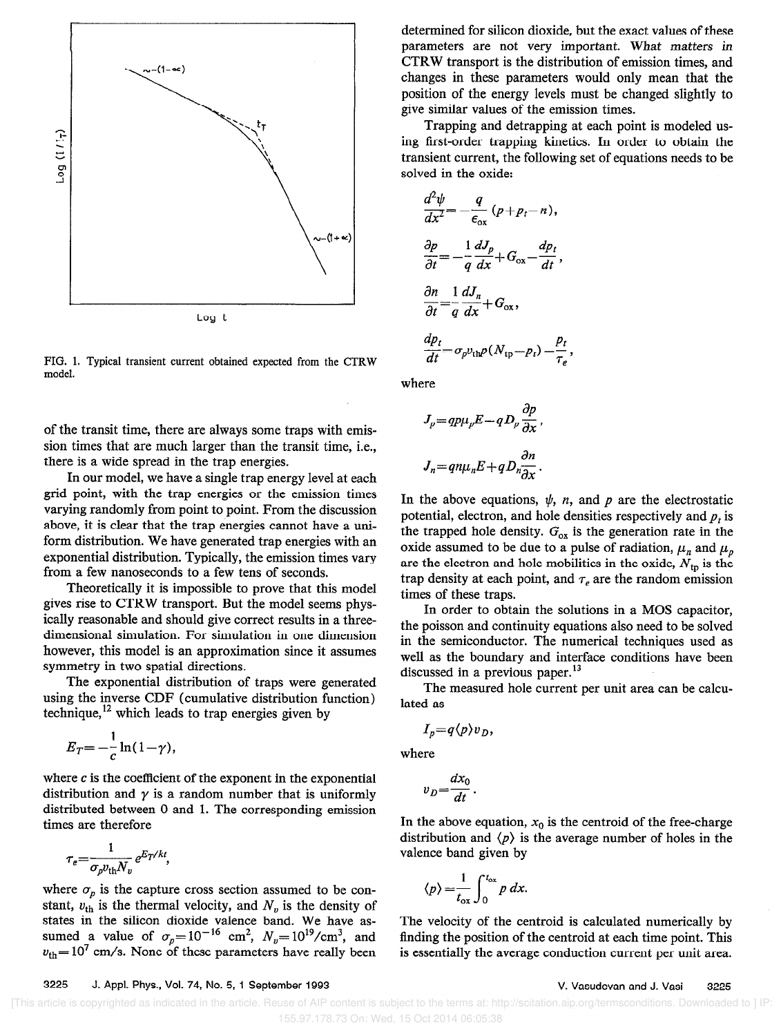

FIG. 1. Typical transient current obtained expected from the CTRW model.

of the transit time, there are always some traps with emission times that are much larger than the transit time, i.e., there is a wide spread in the trap energies.

In our model, we have a single trap energy level at each grid point, with the trap energies or the emission times varying randomly from point to point. From the discussion above, it is clear that the trap energies cannot have a uniform distribution. We have generated trap energies with an exponential distribution. Typically, the emission times vary from a few nanoseconds to a few tens of seconds.

Theoretically it is impossible to prove that this model gives rise to CTRW transport. But the model seems physically reasonable and should give correct results in a threedimensional simulation. For simulation in one dimension however, this model is an approximation since it assumes symmetry in two spatial directions.

The exponential distribution of traps were generated using the inverse CDF (cumulative distribution function) technique, which leads to trap energies given by

$$
E_T = -\frac{1}{c}\ln(1-\gamma),
$$

where  $c$  is the coefficient of the exponent in the exponential distribution and  $\gamma$  is a random number that is uniformly distributed between 0 and 1. The corresponding emission times are therefore

$$
\tau_e = \frac{1}{\sigma_p v_{\text{th}} N_v} e^{E_T/kt},
$$

where  $\sigma_p$  is the capture cross section assumed to be constant,  $v_{\text{th}}$  is the thermal velocity, and  $N_v$  is the density of states in the silicon dioxide valence band. We have assumed a value of  $\sigma_p=10$  cm<sup>-</sup>,  $N_v=10^{19}/cm^2$ , and  $v_{\text{th}}$ = lo $\sigma$  cm/s. None of these parameters have really been

determined for silicon dioxide, but the exact values of these parameters are not very important. What matters in CTRW transport is the distribution of emission times, and changes in these parameters would only mean that the position of the energy levels must be changed slightly to give similar values of the emission times.

Trapping and detrapping at each point is modeled using first-order trapping kinetics. In order to obtain the transient current, the following set of equations needs to be solved in the oxide:

$$
\frac{d^2\psi}{dx^2} = -\frac{q}{\epsilon_{ox}}(p + p_t - n),
$$
  
\n
$$
\frac{\partial p}{\partial t} = -\frac{1}{q}\frac{dJ_p}{dx} + G_{ox} - \frac{dp_t}{dt},
$$
  
\n
$$
\frac{\partial n}{\partial t} = \frac{1}{q}\frac{dJ_n}{dx} + G_{ox},
$$
  
\n
$$
\frac{dp_t}{dt} = \sigma_p v_{\text{th}} \rho (N_{\text{tp}} - p_t) - \frac{p_t}{\tau_e},
$$

where

$$
J_p = qp\mu_p E - qD_p \frac{\partial p}{\partial x},
$$
  

$$
J_n = qn\mu_n E + qD_n \frac{\partial n}{\partial x}.
$$

In the above equations,  $\psi$ , n, and p are the electrostatic potential, electron, and hole densities respectively and  $p_t$  is the trapped hole density.  $G_{\alpha}$  is the generation rate in the oxide assumed to be due to a pulse of radiation,  $\mu_n$  and  $\mu_p$ are the electron and hole mobilities in the oxide,  $N_{\text{tp}}$  is the trap density at each point, and  $\tau_e$  are the random emission times of these traps.

In order to obtain the solutions in a MOS capacitor, the poisson and continuity equations also need to be solved in the semiconductor. The numerical techniques used as well as the boundary and interface conditions have been discussed in a previous paper.<sup>13</sup>

The measured hole current per unit area can be calculated as

$$
I_p = q \langle p \rangle v_D,
$$

where

$$
v_D = \frac{dx_0}{dt}.
$$

In the above equation,  $x_0$  is the centroid of the free-charge distribution and  $\langle p \rangle$  is the average number of holes in the valence band given by

$$
\langle p \rangle = \frac{1}{t_{ox}} \int_0^{t_{ox}} p \, dx
$$

The velocity of the centroid is calculated numerically by finding the position of the centroid at each time point. This is essentially the average conduction current per unit area.

 <sup>[</sup>This article is copyrighted as indicated in the article. Reuse of AIP content is subject to the terms at: http://scitation.aip.org/termsconditions. Downloaded to ] IP: 155.97.178.73 On: Wed, 15 Oct 2014 06:05:38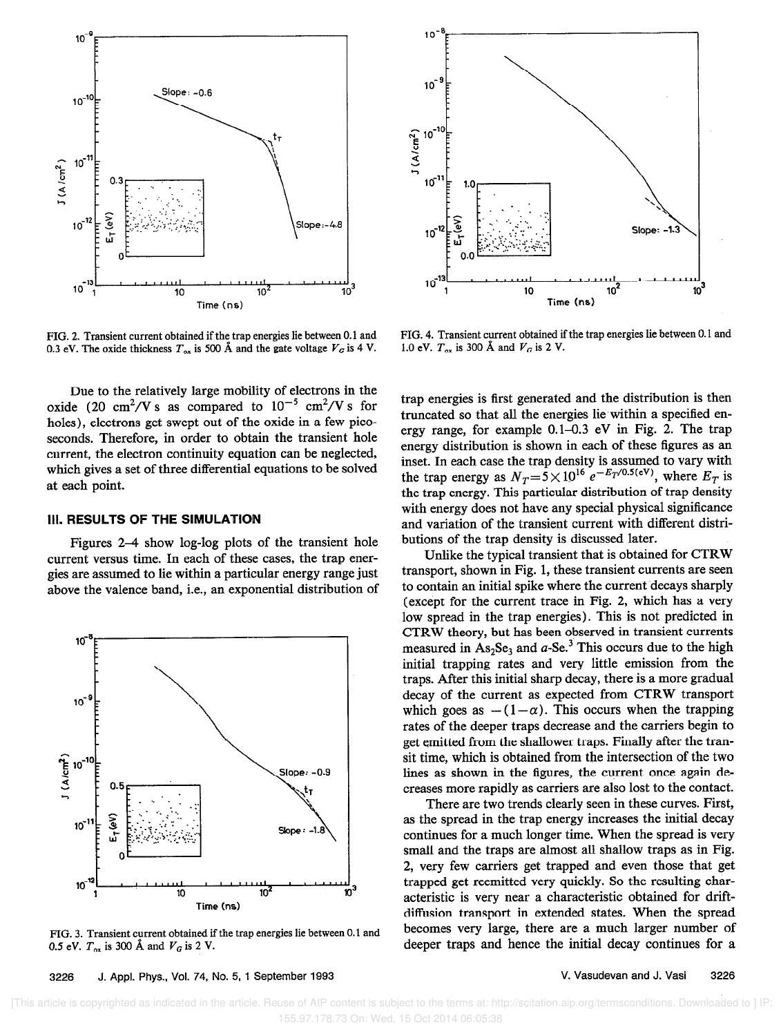

0.3 eV. The oxide thickness  $T_{ox}$  is 500 Å and the gate voltage  $V_G$  is 4 V.

Due to the relatively large mobility of electrons in the oxide (20 cm<sup>2</sup>/V s as compared to  $10^{-5}$  cm<sup>2</sup>/V s for holes), electrons get swept out of the oxide in a few picoseconds. Therefore, in order to obtain the transient hole current, the electron continuity equation can be neglected, which gives a set of three differential equations to be solved at each point.

## Ill. RESULTS OF THE SIMULATION

Figures 2-4 show log-log plots of the transient hole current versus time. In each of these cases, the trap energies are assumed to lie within a particular energy range just above the valence band, i.e., an exponential distribution of



FIG. 3. Transient current obtained if the trap energies lie between 0.1 and 0.5 eV.  $T_{\alpha x}$  is 300 Å and  $V_G$  is 2 V.



FIG. 2. Transient current obtained if the trap energies lie between 0.1 and FIG. 4. Transient current obtained if the trap energies lie between 0.1 and 0.3 eV. The oxide thickness  $T_{ox}$  is 500 Å and the gate voltage  $V_G$ 

trap energies is first generated and the distribution is then truncated so that all the energies lie within a specified energy range, for example  $0.1-0.3$  eV in Fig. 2. The trap energy distribution is shown in each of these figures as an inset. In each case the trap density is assumed to vary with the trap energy as  $N_T=3\times10^{-6} e^{-2T}$ . Where  $E_T$  is the trap energy. This particular distribution of trap density with energy does not have any special physical significance and variation of the transient current with different distributions of the trap density is discussed later.

Unlike the typical transient that is obtained for CTRW transport, shown in Fig. 1, these transient currents are seen to contain an initial spike where the current decays sharply (except for the current trace in Fig. 2, which has a very low spread in the trap energies). This is not predicted in CTRW theory, but has been observed in transient currents measured in  $As_2Se_3$  and a-Se.<sup>3</sup> This occurs due to the high initial trapping rates and very little emission from the traps. After this initial sharp decay, there is a more gradual decay of the current as expected from CTRW transport which goes as  $-(1-\alpha)$ . This occurs when the trapping rates of the deeper traps decrease and the carriers begin to get emitted from the shallower traps. Finally after the transit time, which is obtained from the intersection of the two lines as shown in the figures, the current once again decreases more rapidly as carriers are also lost to the contact.

There are two trends clearly seen in these curves. First, as the spread in the trap energy increases the initial decay continues for a much longer time. When the spread is very small and the traps are almost all shallow traps as in Fig. 2, very few carriers get trapped and even those that get trapped get reemitted very quickly. So the resulting characteristic is very near a characteristic obtained for driftdiffusion transport in extended states. When the spread becomes very large, there are a much larger number of deeper traps and hence the initial decay continues for a

#### 3226 J. Appl. Phys., Vol. 74, No. 5, 1 September 1993 V. Vasudevan and J. Vasi 3226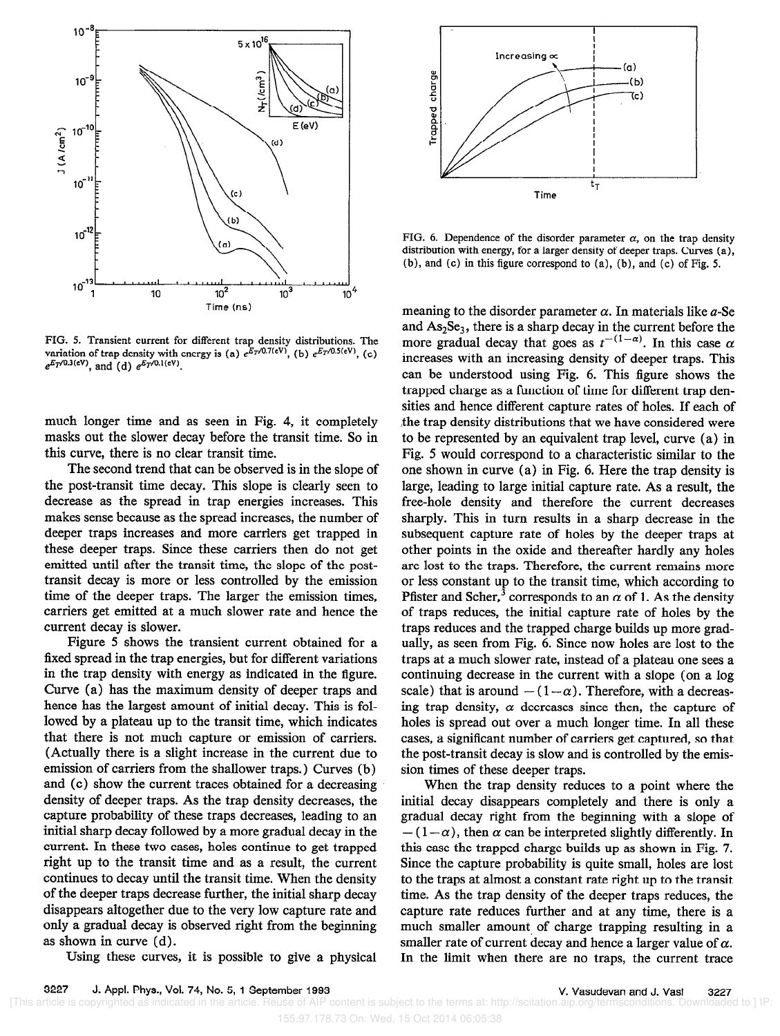

FIG. 5. Transient current for different trap density distributions. The variation of trap density with energy is (a)  $e^{E_T/0.7(\text{eV})}$ , (b)  $e^{E_T/0.5(\text{eV})}$ , (c)  $e^{E_T/0.3(cV)}$ , and (d)  $e^{E_T/0.1(cV)}$ .

much longer time and as seen in Fig. 4, it completely masks out the slower decay before the transit time. So in this curve, there is no clear transit time.

The second trend that can be observed is in the slope of the post-transit time decay. This slope is clearly seen to decrease as the spread in trap energies increases. This makes sense because as the spread increases, the number of deeper traps increases and more carriers get trapped in these deeper traps. Since these carriers then do not get emitted until after the transit time, the slope of the posttransit decay is more or less controlled by the emission time of the deeper traps. The larger the emission times, carriers get emitted at a much slower rate and hence the current decay is slower.

Figure 5 shows the transient current obtained for a fixed spread in the trap energies, but for different variations in the trap density with energy as indicated in the figure. Curve (a) has the maximum density of deeper traps and hence has the largest amount of initial decay. This is followed by a plateau up to the transit time, which indicates that there is not much capture or emission of carriers. (Actually there is a slight increase in the current due to emission of carriers from the shallower traps.) Curves (b) and (c) show the current traces obtained for a decreasing density of deeper traps. As the trap density decreases, the capture probability of these traps decreases, leading to an initial sharp decay followed by a more gradual decay in the current. In these two cases, holes continue to get trapped right up to the transit time and as a result, the current continues to decay until the transit time. When the density of the deeper traps decrease further, the initial sharp decay disappears altogether due to the very low capture rate and only a gradual decay is observed right from the beginning as shown in curve (d) .

Using these curves, it is possible to give a physical



FIG. 6. Dependence of the disorder parameter  $\alpha$ , on the trap density distribution with energy, for a larger density of deeper traps. Curves (a), (b), and (c) in this figure correspond to (a), (b), and (c) of Fig. 5.

meaning to the disorder parameter  $\alpha$ . In materials like  $a$ -Se and  $As<sub>2</sub>Se<sub>3</sub>$ , there is a sharp decay in the current before the more gradual decay that goes as  $t^{-(1-\alpha)}$ . In this case  $\alpha$ increases with an increasing density of deeper traps. This can be understood using Fig. 6. This figure shows the trapped charge as a function of time for different trap densities and hence different capture rates of holes. If each of the trap density distributions that we have considered were to be represented by an equivalent trap level, curve (a) in Fig. 5 would correspond to a characteristic similar to the one shown in curve (a) in Fig. 6. Here the trap density is large, leading to large initial capture rate. As a result, the free-hole density and therefore the current decreases sharply. This in turn results in a sharp decrease in the subsequent capture rate of holes by the deeper traps at other points in the oxide and thereafter hardly any holes are lost to the traps. Therefore, the current remains more or less constant up to the transit time, which according to Pfister and Scher,<sup>3</sup> corresponds to an  $\alpha$  of 1. As the density of traps reduces, the initial capture rate of holes by the traps reduces and the trapped charge builds up more gradually, as seen from Fig. 6. Since now holes are lost to the traps at a much slower rate, instead of a plateau one sees a continuing decrease in the current with a slope (on a log scale) that is around  $-(1-\alpha)$ . Therefore, with a decreasing trap density,  $\alpha$  decreases since then, the capture of holes is spread out over a much longer time. In all these cases, a significant number of carriers get captured, so that the post-transit decay is slow and is controlled by the emission times of these deeper traps.

When the trap density reduces to a point where the initial decay disappears completely and there is only a gradual decay right from the beginning with a slope of  $-(1-\alpha)$ , then  $\alpha$  can be interpreted slightly differently. In this case the trapped charge builds up as shown in Fig. 7. Since the capture probability is quite small, holes are lost to the traps at almost a constant rate right up to the transit time. As the trap density of the deeper traps reduces, the capture rate reduces further and at any time, there is a much smaller amount of charge trapping resulting in a smaller rate of current decay and hence a larger value of  $\alpha$ . In the limit when there are no traps, the current trace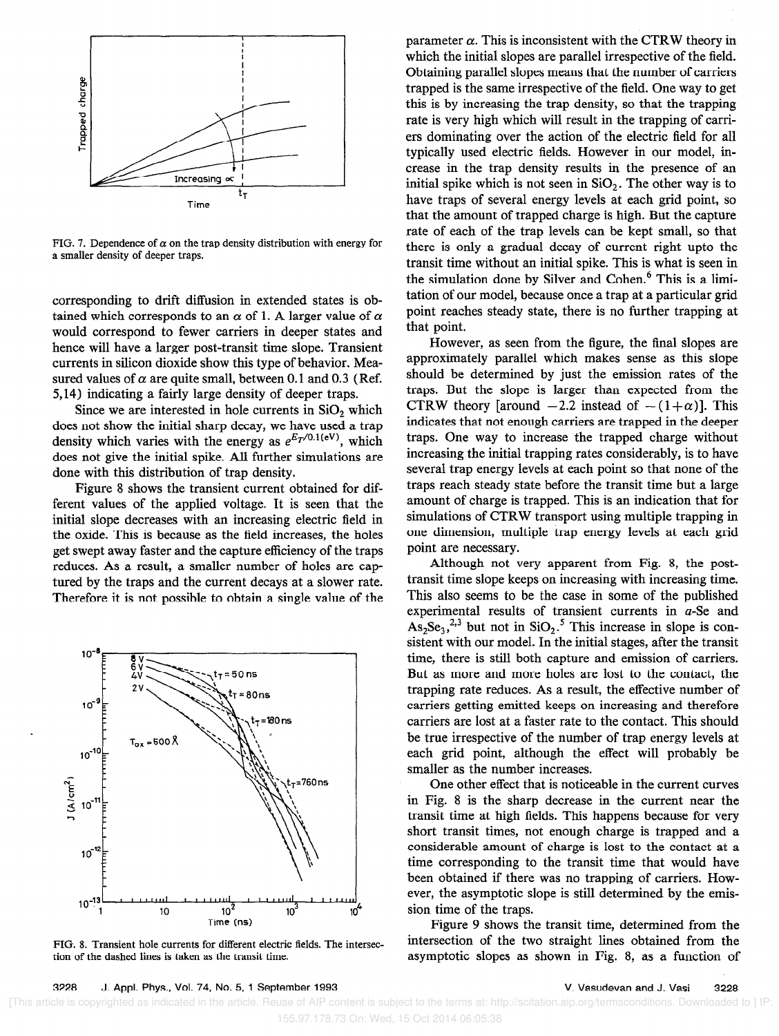

FIG. 7. Dependence of  $\alpha$  on the trap density distribution with energy for a smaller density of deeper traps.

corresponding to drift diffusion in extended states is obtained which corresponds to an  $\alpha$  of 1. A larger value of  $\alpha$ would correspond to fewer carriers in deeper states and hence will have a larger post-transit time slope. Transient currents in silicon dioxide show this type of behavior. Measured values of  $\alpha$  are quite small, between 0.1 and 0.3 (Ref. 5,14) indicating a fairly large density of deeper traps.

Since we are interested in hole currents in  $SiO<sub>2</sub>$  which does not show the initial sharp decay, we have used a trap density which varies with the energy as  $e^{E_T/0.1(eV)}$ , which does not give the initial spike. All further simulations are done with this distribution of trap density.

Figure 8 shows the transient current obtained for different values of the applied voltage. It is seen that the initial slope decreases with an increasing electric field in the oxide. This is because as the held increases, the holes get swept away faster and the capture efficiency of the traps reduces. As a result, a smaller number of holes are captured by the traps and the current decays at a slower rate. Therefore it is not possible to obtain a single value of the



FIG. 8. Transient hole currents for different electric fields. The intersection of the dashed lines is taken as the transit time.

parameter  $\alpha$ . This is inconsistent with the CTRW theory in which the initial slopes are parallel irrespective of the field. Obtaining parallel slopes means that the number of carriers trapped is the same irrespective of the field. One way to get this is by increasing the trap density, so that the trapping rate is very high which will result in the trapping of carriers dominating over the action of the electric field for all typically used electric fields. However in our model, increase in the trap density results in the presence of an initial spike which is not seen in  $SiO<sub>2</sub>$ . The other way is to have traps of several energy levels at each grid point, so that the amount of trapped charge is high. But the capture rate of each of the trap levels can be kept small, so that there is only a gradual decay of current right upto the transit time without an initial spike. This is what is seen in the simulation done by Silver and Cohen.<sup>6</sup> This is a limitation of our model, because once a trap at a particular grid point reaches steady state, there is no further trapping at that point.

However, as seen from the figure, the final slopes are approximately parallel which makes sense as this slope should be determined by just the emission rates of the traps. But the slope is larger than expected from the CTRW theory [around  $-2.2$  instead of  $-(1+\alpha)$ ]. This indicates that not enough carriers are trapped in the deeper traps. One way to increase the trapped charge without increasing the initial trapping rates considerably, is to have several trap energy levels at each point so that none of the traps reach steady state before the transit time but a large amount of charge is trapped. This is an indication that for simulations of CTRW transport using multiple trapping in one dimension, multiple trap energy levels at each grid point are necessary.

Although not very apparent from Fig. 8, the posttransit time slope keeps on increasing with increasing time. This also seems to be the case in some of the published experimental results of transient currents in a-Se and  $\text{As}_2\text{Se}_3$ ,<sup>2,3</sup> but not in SiO<sub>2</sub>.<sup>5</sup> This increase in slope is consistent with our model. In the initial stages, after the transit time, there is still both capture and emission of carriers. But as more and more holes are lost to the contact, the trapping rate reduces. As a result, the effective number of carriers getting emitted keeps on increasing and therefore carriers are lost at a faster rate to the contact. This should be true irrespective of the number of trap energy levels at each grid point, although the effect will probably be smaller as the number increases.

One other effect that is noticeable in the current curves in Fig. 8 is the sharp decrease in the current near the transit time at high fields. This happens because for very short transit times, not enough charge is trapped and a considerable amount of charge is lost to the contact at a time corresponding to the transit time that would have been obtained if there was no trapping of carriers. However, the asymptotic slope is still determined by the emission time of the traps.

Figure 9 shows the transit time, determined from the intersection of the two straight lines obtained from the asymptotic slopes as shown in Fig. 8, as a function of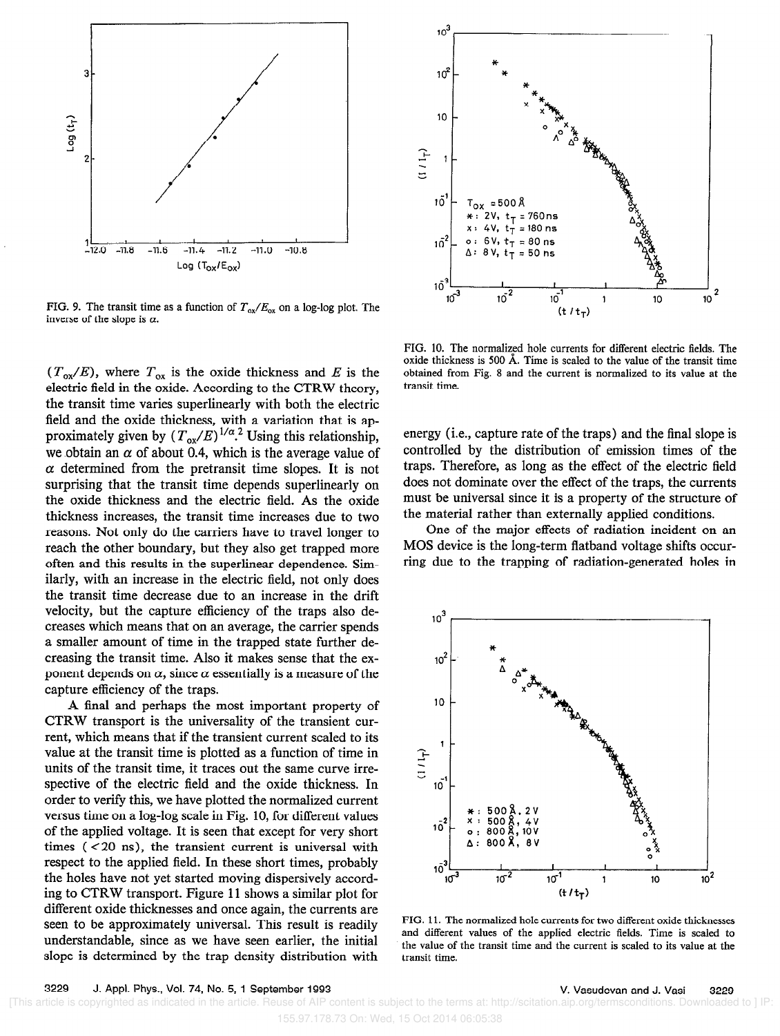

FIG. 9. The transit time as a function of  $T_{ox}/E_{ox}$  on a log-log plot. The inverse of the slope is  $\alpha$ .

 $(T_{ox}/E)$ , where  $T_{ox}$  is the oxide thickness and E is the electric field in the oxide. According to the CTRW theory, the transit time varies superlinearly with both the electric field and the oxide thickness, with a variation that is approximately given by  $(T_{\alpha x}/E)^{1/\alpha}$ . Using this relationship we obtain an  $\alpha$  of about 0.4, which is the average value of  $\alpha$  determined from the pretransit time slopes. It is not surprising that the transit time depends superlinearly on the oxide thickness and the electric field. As the oxide thickness increases, the transit time increases due to two reasons. Not only do the carriers have to travel longer to reach the other boundary, but they also get trapped more often and this results in the superlinear dependence. Similarly, with an increase in the electric field, not only does the transit time decrease due to an increase in the drift velocity, but the capture efficiency of the traps also decreases which means that on an average, the carrier spends a smaller amount of time in the trapped state further decreasing the transit time. Also it makes sense that the exponent depends on  $\alpha$ , since  $\alpha$  essentially is a measure of the capture efficiency of the traps.

4 final and perhaps the most important property of CTRW transport is the universality of the transient current, which means that if the transient current scaled to its value at the transit time is plotted as a function of time in units of the transit time, it traces out the same curve irrespective of the electric field and the oxide thickness. In order to verify this, we have plotted the normalized current versus time on a log-log scale in Fig. 10, for different values of the applied voltage. It is seen that except for very short times ( < 20 ns), the transient current is universal with respect to the applied field. In these short times, probably the holes have not yet started moving dispersively according to CTRW transport. Figure 11 shows a similar plot for different oxide thicknesses and once again, the currents are seen to be approximately universal. This result is readily understandable, since as we have seen earlier, the initial slope is determined by the trap density distribution with



FIG. 10. The normalized hole currents for different electric fields. The oxide thickness is 500 A. Time is scaled to the value of the transit time obtained from Fig. 8 and the current is normalized to its value at the transit time.

energy (i.e., capture rate of the traps) and the final slope is controlled by the distribution of emission times of the traps. Therefore, as long as the effect of the electric field does not dominate over the effect of the traps, the currents must be universal since it is a property of the structure of the material rather than externally applied conditions.

One of the major effects of radiation incident on an MOS device is the long-term flatband voltage shifts occurring due to the trapping of radiation-generated holes in



FIG. Il. The normalized hole currents for two different oxide thicknesses and different values of the applied electric fields. Time is scaled to the value of the transit time and the current is scaled to its value at the transit time.